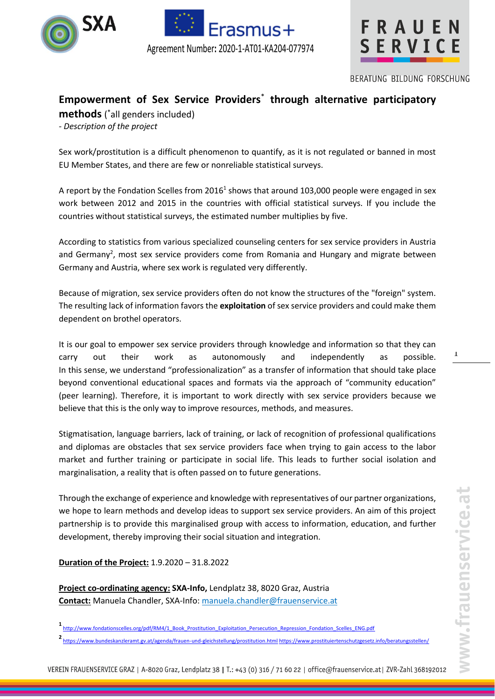



FRAUEN SERVICE

BERATUNG BILDUNG FORSCHUNG

# **Empowerment of Sex Service Providers**\* **through alternative participatory**

**methods** ( \*all genders included) *- Description of the project*

Sex work/prostitution is a difficult phenomenon to quantify, as it is not regulated or banned in most EU Member States, and there are few or nonreliable statistical surveys.

A report by the Fondation Scelles from 2016<sup>1</sup> shows that around 103,000 people were engaged in sex work between 2012 and 2015 in the countries with official statistical surveys. If you include the countries without statistical surveys, the estimated number multiplies by five.

According to statistics from various specialized counseling centers for sex service providers in Austria and Germany<sup>2</sup>, most sex service providers come from Romania and Hungary and migrate between Germany and Austria, where sex work is regulated very differently.

Because of migration, sex service providers often do not know the structures of the "foreign" system. The resulting lack of information favors the **exploitation** of sex service providers and could make them dependent on brothel operators.

It is our goal to empower sex service providers through knowledge and information so that they can carry out their work as autonomously and independently as possible. In this sense, we understand "professionalization" as a transfer of information that should take place beyond conventional educational spaces and formats via the approach of "community education" (peer learning). Therefore, it is important to work directly with sex service providers because we believe that this is the only way to improve resources, methods, and measures.

Stigmatisation, language barriers, lack of training, or lack of recognition of professional qualifications and diplomas are obstacles that sex service providers face when trying to gain access to the labor market and further training or participate in social life. This leads to further social isolation and marginalisation, a reality that is often passed on to future generations.

Through the exchange of experience and knowledge with representatives of our partner organizations, we hope to learn methods and develop ideas to support sex service providers. An aim of this project partnership is to provide this marginalised group with access to information, education, and further development, thereby improving their social situation and integration.

## **Duration of the Project:** 1.9.2020 – 31.8.2022

**Project co-ordinating agency: SXA-Info,** Lendplatz 38, 8020 Graz, Austria **Contact:** Manuela Chandler, SXA-Info: [manuela.chandler@frauenservice.at](mailto:manuela.chandler@frauenservice.at)

**2** <https://www.bundeskanzleramt.gv.at/agenda/frauen-und-gleichstellung/prostitution.html> <https://www.prostituiertenschutzgesetz.info/beratungsstellen/>

1

**<sup>1</sup>** [http://www.fondationscelles.org/pdf/RM4/1\\_Book\\_Prostitution\\_Exploitation\\_Persecution\\_Repression\\_Fondation\\_Scelles\\_ENG.pdf](http://www.fondationscelles.org/pdf/RM4/1_Book_Prostitution_Exploitation_Persecution_Repression_Fondation_Scelles_ENG.pdf)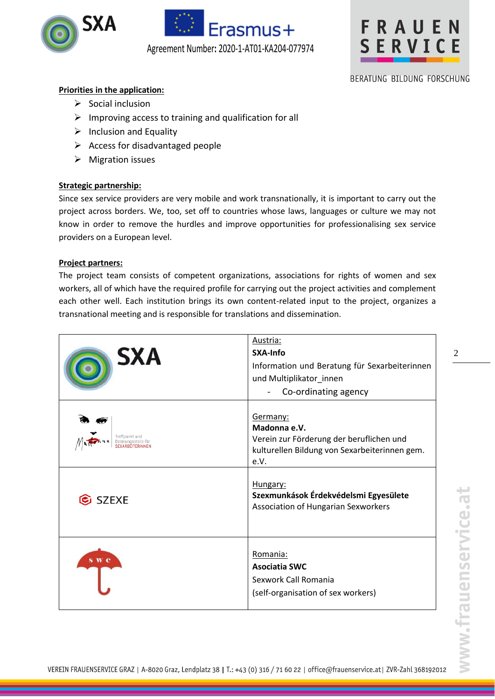





## BERATUNG BILDUNG FORSCHUNG

## **Priorities in the application:**

- ➢ Social inclusion
- $\triangleright$  Improving access to training and qualification for all
- $\triangleright$  Inclusion and Equality
- $\triangleright$  Access for disadvantaged people
- ➢ Migration issues

### **Strategic partnership:**

Since sex service providers are very mobile and work transnationally, it is important to carry out the project across borders. We, too, set off to countries whose laws, languages or culture we may not know in order to remove the hurdles and improve opportunities for professionalising sex service providers on a European level.

### **Project partners:**

The project team consists of competent organizations, associations for rights of women and sex workers, all of which have the required profile for carrying out the project activities and complement each other well. Each institution brings its own content-related input to the project, organizes a transnational meeting and is responsible for translations and dissemination.

| <b>SXA</b>     | Austria:<br>SXA-Info<br>Information und Beratung für Sexarbeiterinnen<br>und Multiplikator_innen<br>Co-ordinating agency      |
|----------------|-------------------------------------------------------------------------------------------------------------------------------|
| Treffpunkt und | Germany:<br>Madonna e.V.<br>Verein zur Förderung der beruflichen und<br>kulturellen Bildung von Sexarbeiterinnen gem.<br>e.V. |
| C SZEXE        | Hungary:<br>Szexmunkások Érdekvédelsmi Egyesülete<br>Association of Hungarian Sexworkers                                      |
| s w c          | Romania:<br><b>Asociatia SWC</b><br>Sexwork Call Romania<br>(self-organisation of sex workers)                                |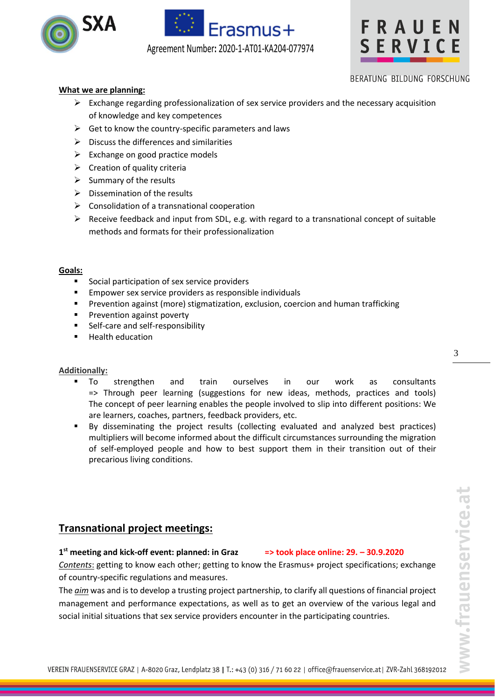





## BERATUNG BILDUNG FORSCHUNG

## **What we are planning:**

- ➢ Exchange regarding professionalization of sex service providers and the necessary acquisition of knowledge and key competences
- $\triangleright$  Get to know the country-specific parameters and laws
- $\triangleright$  Discuss the differences and similarities
- $\triangleright$  Exchange on good practice models
- $\triangleright$  Creation of quality criteria
- $\triangleright$  Summary of the results
- $\triangleright$  Dissemination of the results
- $\triangleright$  Consolidation of a transnational cooperation
- $\triangleright$  Receive feedback and input from SDL, e.g. with regard to a transnational concept of suitable methods and formats for their professionalization

#### **Goals:**

- Social participation of sex service providers
- Empower sex service providers as responsible individuals
- **•** Prevention against (more) stigmatization, exclusion, coercion and human trafficking
- **•** Prevention against poverty
- Self-care and self-responsibility
- Health education

#### **Additionally:**

- To strengthen and train ourselves in our work as consultants => Through peer learning (suggestions for new ideas, methods, practices and tools) The concept of peer learning enables the people involved to slip into different positions: We are learners, coaches, partners, feedback providers, etc.
- By disseminating the project results (collecting evaluated and analyzed best practices) multipliers will become informed about the difficult circumstances surrounding the migration of self-employed people and how to best support them in their transition out of their precarious living conditions.

## **Transnational project meetings:**

## **1 st meeting and kick-off event: planned: in Graz => took place online: 29. – 30.9.2020**

*Contents*: getting to know each other; getting to know the Erasmus+ project specifications; exchange of country-specific regulations and measures.

The *aim* was and isto develop a trusting project partnership, to clarify all questions of financial project management and performance expectations, as well as to get an overview of the various legal and social initial situations that sex service providers encounter in the participating countries.